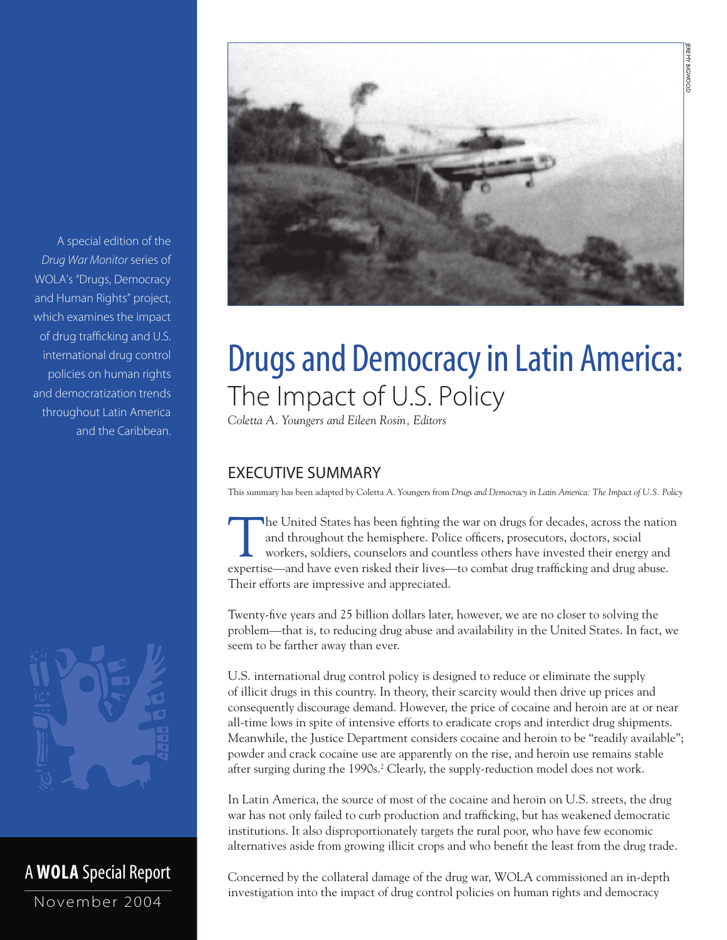A special edition of the Drug War Monitor series of WOLA's "Drugs, Democracy and Human Rights" project, which examines the impact of drug trafficking and U.S. international drug control policies on human rights and democratization trends throughout Latin America and the Caribbean.



A WOLA Special Report

November 2004



# Drugs and Democracy in Latin America: The Impact of U.S. Policy

*Coletta A. Youngers and Eileen Rosin, Editors*

# EXECUTIVE SUMMARY

This summary has been adapted by Coletta A. Youngers from *Drugs and Democracy in Latin America: The Impact of U.S. Policy*

The United States has been fighting the war on drugs for decades, across the nation and throughout the hemisphere. Police officers, prosecutors, doctors, social workers, soldiers, counselors and countless others have invested their energy and expertise—and have even risked their lives—to combat drug trafficking and drug abuse. Their efforts are impressive and appreciated.

Twenty-five years and 25 billion dollars later, however, we are no closer to solving the problem—that is, to reducing drug abuse and availability in the United States. In fact, we seem to be farther away than ever.

U.S. international drug control policy is designed to reduce or eliminate the supply of illicit drugs in this country. In theory, their scarcity would then drive up prices and consequently discourage demand. However, the price of cocaine and heroin are at or near all-time lows in spite of intensive efforts to eradicate crops and interdict drug shipments. Meanwhile, the Justice Department considers cocaine and heroin to be "readily available"; powder and crack cocaine use are apparently on the rise, and heroin use remains stable after surging during the 1990s.<sup>2</sup> Clearly, the supply-reduction model does not work.

In Latin America, the source of most of the cocaine and heroin on U.S. streets, the drug war has not only failed to curb production and trafficking, but has weakened democratic institutions. It also disproportionately targets the rural poor, who have few economic alternatives aside from growing illicit crops and who benefit the least from the drug trade.

Concerned by the collateral damage of the drug war, WOLA commissioned an in-depth investigation into the impact of drug control policies on human rights and democracy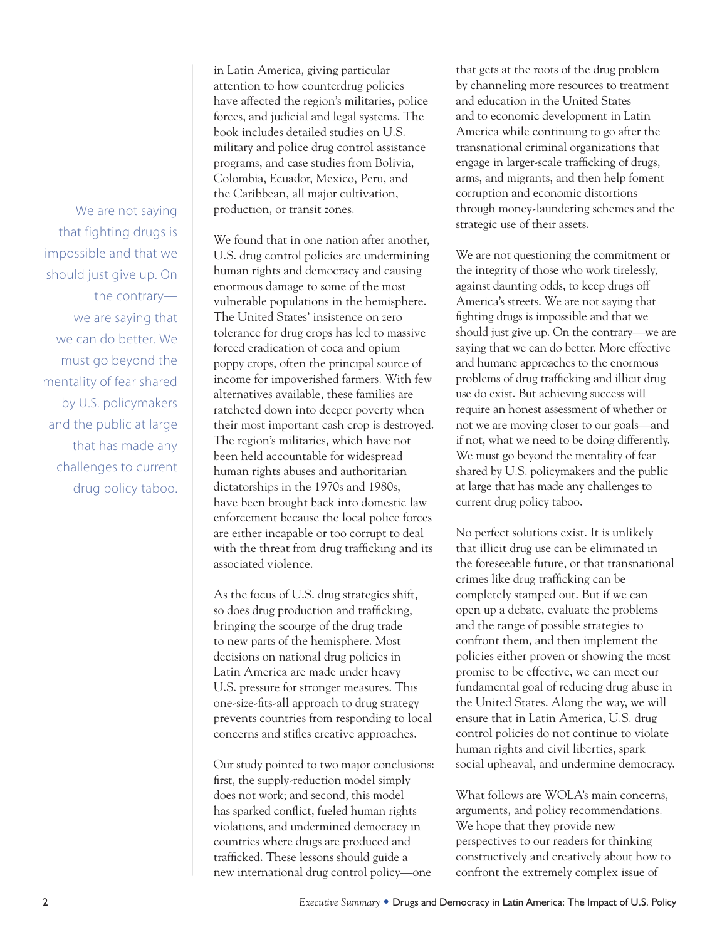We are not saying that fighting drugs is impossible and that we should just give up. On the contrary we are saying that we can do better. We must go beyond the mentality of fear shared by U.S. policymakers and the public at large that has made any challenges to current drug policy taboo.

in Latin America, giving particular attention to how counterdrug policies have affected the region's militaries, police forces, and judicial and legal systems. The book includes detailed studies on U.S. military and police drug control assistance programs, and case studies from Bolivia, Colombia, Ecuador, Mexico, Peru, and the Caribbean, all major cultivation, production, or transit zones.

We found that in one nation after another, U.S. drug control policies are undermining human rights and democracy and causing enormous damage to some of the most vulnerable populations in the hemisphere. The United States' insistence on zero tolerance for drug crops has led to massive forced eradication of coca and opium poppy crops, often the principal source of income for impoverished farmers. With few alternatives available, these families are ratcheted down into deeper poverty when their most important cash crop is destroyed. The region's militaries, which have not been held accountable for widespread human rights abuses and authoritarian dictatorships in the 1970s and 1980s, have been brought back into domestic law enforcement because the local police forces are either incapable or too corrupt to deal with the threat from drug trafficking and its associated violence.

As the focus of U.S. drug strategies shift, so does drug production and trafficking, bringing the scourge of the drug trade to new parts of the hemisphere. Most decisions on national drug policies in Latin America are made under heavy U.S. pressure for stronger measures. This one-size-fits-all approach to drug strategy prevents countries from responding to local concerns and stifles creative approaches.

Our study pointed to two major conclusions: first, the supply-reduction model simply does not work; and second, this model has sparked conflict, fueled human rights violations, and undermined democracy in countries where drugs are produced and trafficked. These lessons should guide a new international drug control policy—one

that gets at the roots of the drug problem by channeling more resources to treatment and education in the United States and to economic development in Latin America while continuing to go after the transnational criminal organizations that engage in larger-scale trafficking of drugs, arms, and migrants, and then help foment corruption and economic distortions through money-laundering schemes and the strategic use of their assets.

We are not questioning the commitment or the integrity of those who work tirelessly, against daunting odds, to keep drugs off America's streets. We are not saying that fighting drugs is impossible and that we should just give up. On the contrary—we are saying that we can do better. More effective and humane approaches to the enormous problems of drug trafficking and illicit drug use do exist. But achieving success will require an honest assessment of whether or not we are moving closer to our goals—and if not, what we need to be doing differently. We must go beyond the mentality of fear shared by U.S. policymakers and the public at large that has made any challenges to current drug policy taboo.

No perfect solutions exist. It is unlikely that illicit drug use can be eliminated in the foreseeable future, or that transnational crimes like drug trafficking can be completely stamped out. But if we can open up a debate, evaluate the problems and the range of possible strategies to confront them, and then implement the policies either proven or showing the most promise to be effective, we can meet our fundamental goal of reducing drug abuse in the United States. Along the way, we will ensure that in Latin America, U.S. drug control policies do not continue to violate human rights and civil liberties, spark social upheaval, and undermine democracy.

What follows are WOLA's main concerns, arguments, and policy recommendations. We hope that they provide new perspectives to our readers for thinking constructively and creatively about how to confront the extremely complex issue of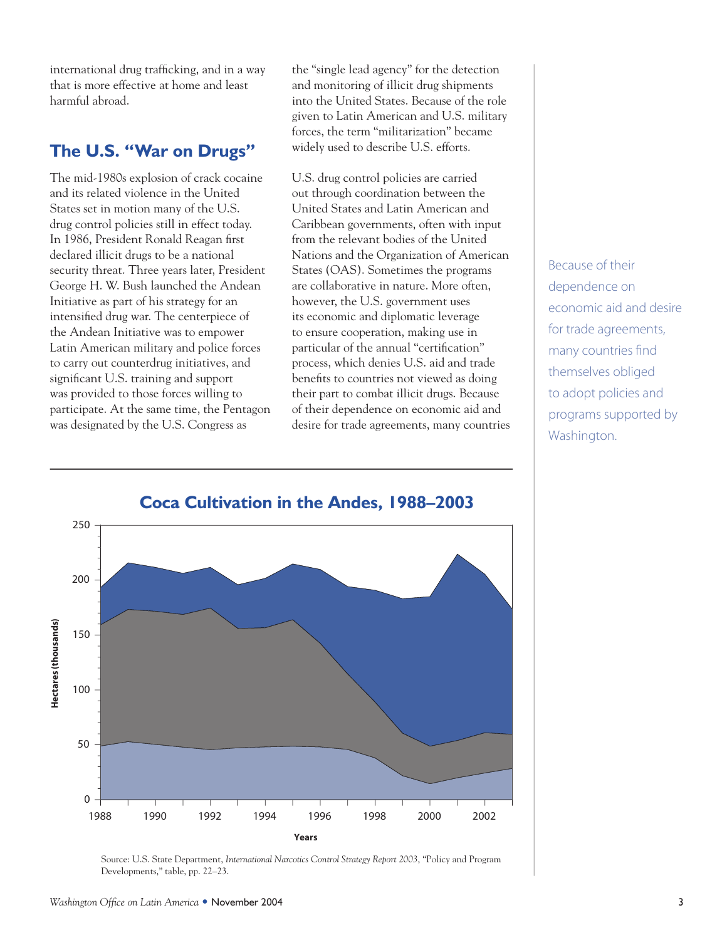international drug trafficking, and in a way that is more effective at home and least harmful abroad.

# **The U.S. "War on Drugs"**

The mid-1980s explosion of crack cocaine and its related violence in the United States set in motion many of the U.S. drug control policies still in effect today. In 1986, President Ronald Reagan first declared illicit drugs to be a national security threat. Three years later, President George H. W. Bush launched the Andean Initiative as part of his strategy for an intensified drug war. The centerpiece of the Andean Initiative was to empower Latin American military and police forces to carry out counterdrug initiatives, and significant U.S. training and support was provided to those forces willing to participate. At the same time, the Pentagon was designated by the U.S. Congress as

the "single lead agency" for the detection and monitoring of illicit drug shipments into the United States. Because of the role given to Latin American and U.S. military forces, the term "militarization" became widely used to describe U.S. efforts.

U.S. drug control policies are carried out through coordination between the United States and Latin American and Caribbean governments, often with input from the relevant bodies of the United Nations and the Organization of American States (OAS). Sometimes the programs are collaborative in nature. More often, however, the U.S. government uses its economic and diplomatic leverage to ensure cooperation, making use in particular of the annual "certification" process, which denies U.S. aid and trade benefits to countries not viewed as doing their part to combat illicit drugs. Because of their dependence on economic aid and desire for trade agreements, many countries

Because of their dependence on economic aid and desire for trade agreements, many countries find themselves obliged to adopt policies and programs supported by Washington.



Source: U.S. State Department, *International Narcotics Control Strategy Report 2003*, "Policy and Program Developments," table, pp. 22–23.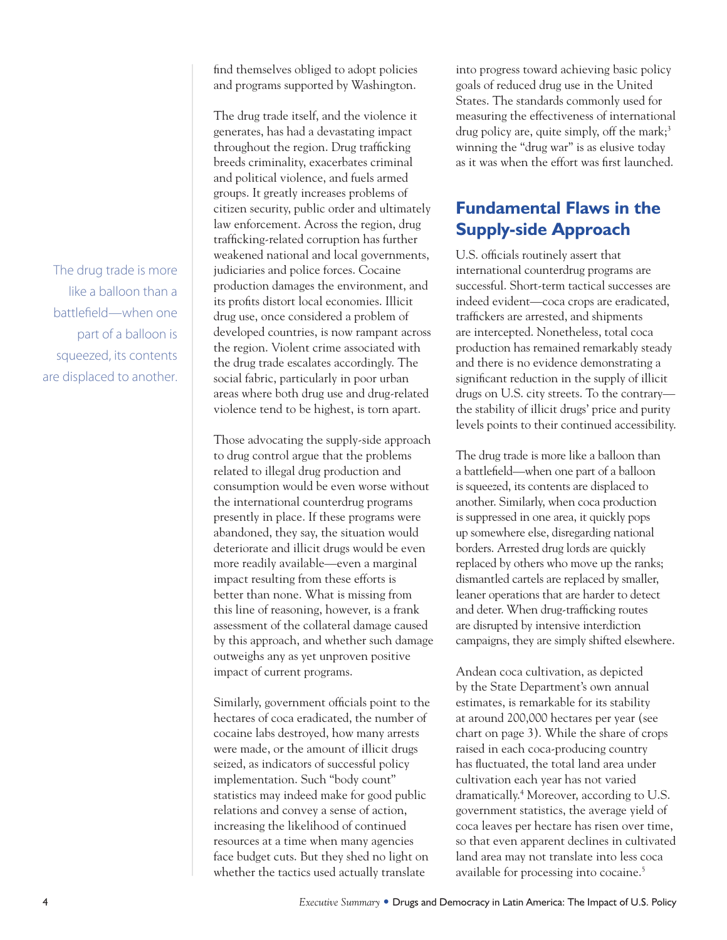The drug trade is more like a balloon than a battlefield—when one part of a balloon is squeezed, its contents are displaced to another. find themselves obliged to adopt policies and programs supported by Washington.

The drug trade itself, and the violence it generates, has had a devastating impact throughout the region. Drug trafficking breeds criminality, exacerbates criminal and political violence, and fuels armed groups. It greatly increases problems of citizen security, public order and ultimately law enforcement. Across the region, drug trafficking-related corruption has further weakened national and local governments, judiciaries and police forces. Cocaine production damages the environment, and its profits distort local economies. Illicit drug use, once considered a problem of developed countries, is now rampant across the region. Violent crime associated with the drug trade escalates accordingly. The social fabric, particularly in poor urban areas where both drug use and drug-related violence tend to be highest, is torn apart.

Those advocating the supply-side approach to drug control argue that the problems related to illegal drug production and consumption would be even worse without the international counterdrug programs presently in place. If these programs were abandoned, they say, the situation would deteriorate and illicit drugs would be even more readily available—even a marginal impact resulting from these efforts is better than none. What is missing from this line of reasoning, however, is a frank assessment of the collateral damage caused by this approach, and whether such damage outweighs any as yet unproven positive impact of current programs.

Similarly, government officials point to the hectares of coca eradicated, the number of cocaine labs destroyed, how many arrests were made, or the amount of illicit drugs seized, as indicators of successful policy implementation. Such "body count" statistics may indeed make for good public relations and convey a sense of action, increasing the likelihood of continued resources at a time when many agencies face budget cuts. But they shed no light on whether the tactics used actually translate

into progress toward achieving basic policy goals of reduced drug use in the United States. The standards commonly used for measuring the effectiveness of international drug policy are, quite simply, off the mark;<sup>3</sup> winning the "drug war" is as elusive today as it was when the effort was first launched.

# **Fundamental Flaws in the Supply-side Approach**

U.S. officials routinely assert that international counterdrug programs are successful. Short-term tactical successes are indeed evident—coca crops are eradicated, traffickers are arrested, and shipments are intercepted. Nonetheless, total coca production has remained remarkably steady and there is no evidence demonstrating a significant reduction in the supply of illicit drugs on U.S. city streets. To the contrary the stability of illicit drugs' price and purity levels points to their continued accessibility.

The drug trade is more like a balloon than a battlefield—when one part of a balloon is squeezed, its contents are displaced to another. Similarly, when coca production is suppressed in one area, it quickly pops up somewhere else, disregarding national borders. Arrested drug lords are quickly replaced by others who move up the ranks; dismantled cartels are replaced by smaller, leaner operations that are harder to detect and deter. When drug-trafficking routes are disrupted by intensive interdiction campaigns, they are simply shifted elsewhere.

Andean coca cultivation, as depicted by the State Department's own annual estimates, is remarkable for its stability at around 200,000 hectares per year (see chart on page 3). While the share of crops raised in each coca-producing country has fluctuated, the total land area under cultivation each year has not varied dramatically.4 Moreover, according to U.S. government statistics, the average yield of coca leaves per hectare has risen over time, so that even apparent declines in cultivated land area may not translate into less coca available for processing into cocaine.5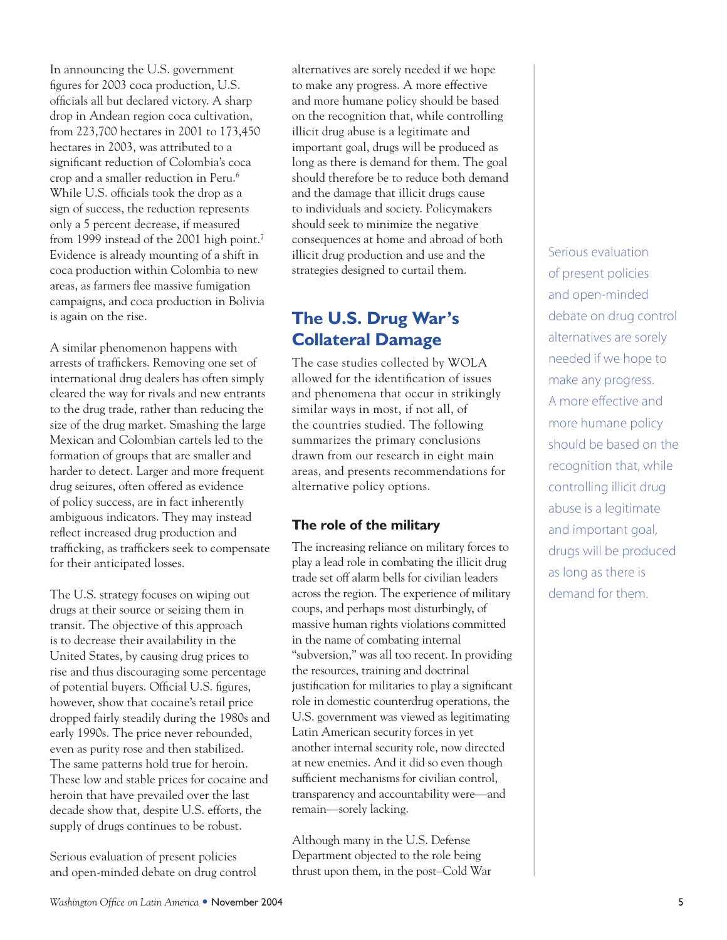In announcing the U.S. government figures for 2003 coca production, U.S. officials all but declared victory. A sharp drop in Andean region coca cultivation, from 223,700 hectares in 2001 to 173,450 hectares in 2003, was attributed to a significant reduction of Colombia's coca crop and a smaller reduction in Peru.6 While U.S. officials took the drop as a sign of success, the reduction represents only a 5 percent decrease, if measured from 1999 instead of the 2001 high point.7 Evidence is already mounting of a shift in coca production within Colombia to new areas, as farmers flee massive fumigation campaigns, and coca production in Bolivia is again on the rise.

A similar phenomenon happens with arrests of traffickers. Removing one set of international drug dealers has often simply cleared the way for rivals and new entrants to the drug trade, rather than reducing the size of the drug market. Smashing the large Mexican and Colombian cartels led to the formation of groups that are smaller and harder to detect. Larger and more frequent drug seizures, often offered as evidence of policy success, are in fact inherently ambiguous indicators. They may instead reflect increased drug production and trafficking, as traffickers seek to compensate for their anticipated losses.

The U.S. strategy focuses on wiping out drugs at their source or seizing them in transit. The objective of this approach is to decrease their availability in the United States, by causing drug prices to rise and thus discouraging some percentage of potential buyers. Official U.S. figures, however, show that cocaine's retail price dropped fairly steadily during the 1980s and early 1990s. The price never rebounded, even as purity rose and then stabilized. The same patterns hold true for heroin. These low and stable prices for cocaine and heroin that have prevailed over the last decade show that, despite U.S. efforts, the supply of drugs continues to be robust.

Serious evaluation of present policies and open-minded debate on drug control alternatives are sorely needed if we hope to make any progress. A more effective and more humane policy should be based on the recognition that, while controlling illicit drug abuse is a legitimate and important goal, drugs will be produced as long as there is demand for them. The goal should therefore be to reduce both demand and the damage that illicit drugs cause to individuals and society. Policymakers should seek to minimize the negative consequences at home and abroad of both illicit drug production and use and the strategies designed to curtail them.

# **The U.S. Drug War's Collateral Damage**

The case studies collected by WOLA allowed for the identification of issues and phenomena that occur in strikingly similar ways in most, if not all, of the countries studied. The following summarizes the primary conclusions drawn from our research in eight main areas, and presents recommendations for alternative policy options.

## **The role of the military**

The increasing reliance on military forces to play a lead role in combating the illicit drug trade set off alarm bells for civilian leaders across the region. The experience of military coups, and perhaps most disturbingly, of massive human rights violations committed in the name of combating internal "subversion," was all too recent. In providing the resources, training and doctrinal justification for militaries to play a significant role in domestic counterdrug operations, the U.S. government was viewed as legitimating Latin American security forces in yet another internal security role, now directed at new enemies. And it did so even though sufficient mechanisms for civilian control, transparency and accountability were—and remain—sorely lacking.

Although many in the U.S. Defense Department objected to the role being thrust upon them, in the post–Cold War

Serious evaluation of present policies and open-minded debate on drug control alternatives are sorely needed if we hope to make any progress. A more effective and more humane policy should be based on the recognition that, while controlling illicit drug abuse is a legitimate and important goal, drugs will be produced as long as there is demand for them.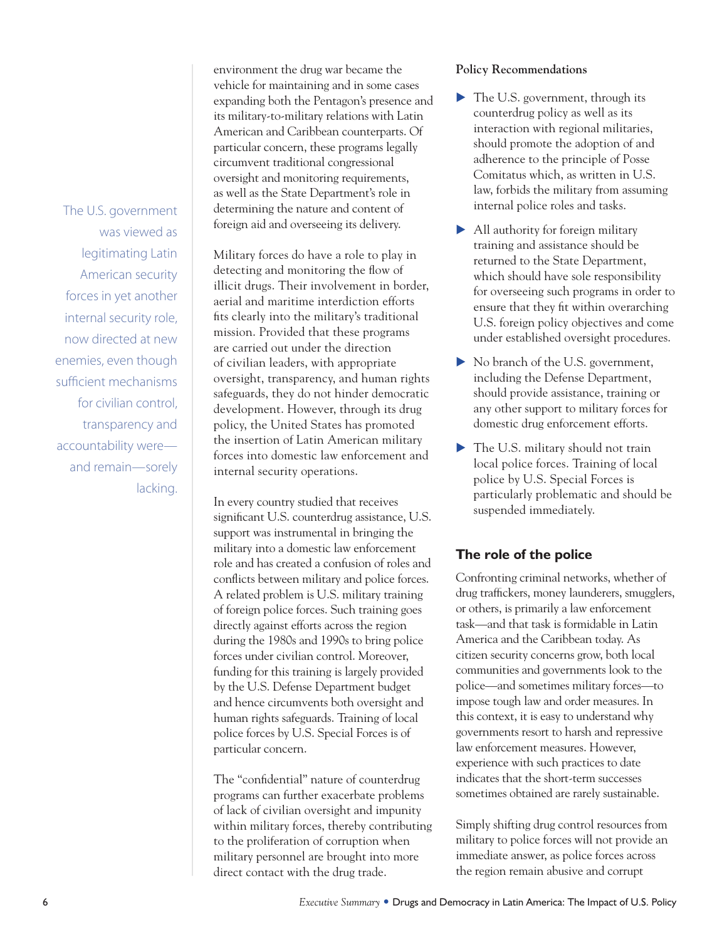The U.S. government was viewed as legitimating Latin American security forces in yet another internal security role, now directed at new enemies, even though sufficient mechanisms for civilian control, transparency and accountability were and remain—sorely lacking. environment the drug war became the vehicle for maintaining and in some cases expanding both the Pentagon's presence and its military-to-military relations with Latin American and Caribbean counterparts. Of particular concern, these programs legally circumvent traditional congressional oversight and monitoring requirements, as well as the State Department's role in determining the nature and content of foreign aid and overseeing its delivery.

Military forces do have a role to play in detecting and monitoring the flow of illicit drugs. Their involvement in border, aerial and maritime interdiction efforts fits clearly into the military's traditional mission. Provided that these programs are carried out under the direction of civilian leaders, with appropriate oversight, transparency, and human rights safeguards, they do not hinder democratic development. However, through its drug policy, the United States has promoted the insertion of Latin American military forces into domestic law enforcement and internal security operations.

In every country studied that receives significant U.S. counterdrug assistance, U.S. support was instrumental in bringing the military into a domestic law enforcement role and has created a confusion of roles and conflicts between military and police forces. A related problem is U.S. military training of foreign police forces. Such training goes directly against efforts across the region during the 1980s and 1990s to bring police forces under civilian control. Moreover, funding for this training is largely provided by the U.S. Defense Department budget and hence circumvents both oversight and human rights safeguards. Training of local police forces by U.S. Special Forces is of particular concern.

The "confidential" nature of counterdrug programs can further exacerbate problems of lack of civilian oversight and impunity within military forces, thereby contributing to the proliferation of corruption when military personnel are brought into more direct contact with the drug trade.

#### **Policy Recommendations**

- The U.S. government, through its counterdrug policy as well as its interaction with regional militaries, should promote the adoption of and adherence to the principle of Posse Comitatus which, as written in U.S. law, forbids the military from assuming internal police roles and tasks.
- All authority for foreign military training and assistance should be returned to the State Department, which should have sole responsibility for overseeing such programs in order to ensure that they fit within overarching U.S. foreign policy objectives and come under established oversight procedures.
- $\triangleright$  No branch of the U.S. government, including the Defense Department, should provide assistance, training or any other support to military forces for domestic drug enforcement efforts.
- ▶ The U.S. military should not train local police forces. Training of local police by U.S. Special Forces is particularly problematic and should be suspended immediately.

## **The role of the police**

Confronting criminal networks, whether of drug traffickers, money launderers, smugglers, or others, is primarily a law enforcement task—and that task is formidable in Latin America and the Caribbean today. As citizen security concerns grow, both local communities and governments look to the police—and sometimes military forces—to impose tough law and order measures. In this context, it is easy to understand why governments resort to harsh and repressive law enforcement measures. However, experience with such practices to date indicates that the short-term successes sometimes obtained are rarely sustainable.

Simply shifting drug control resources from military to police forces will not provide an immediate answer, as police forces across the region remain abusive and corrupt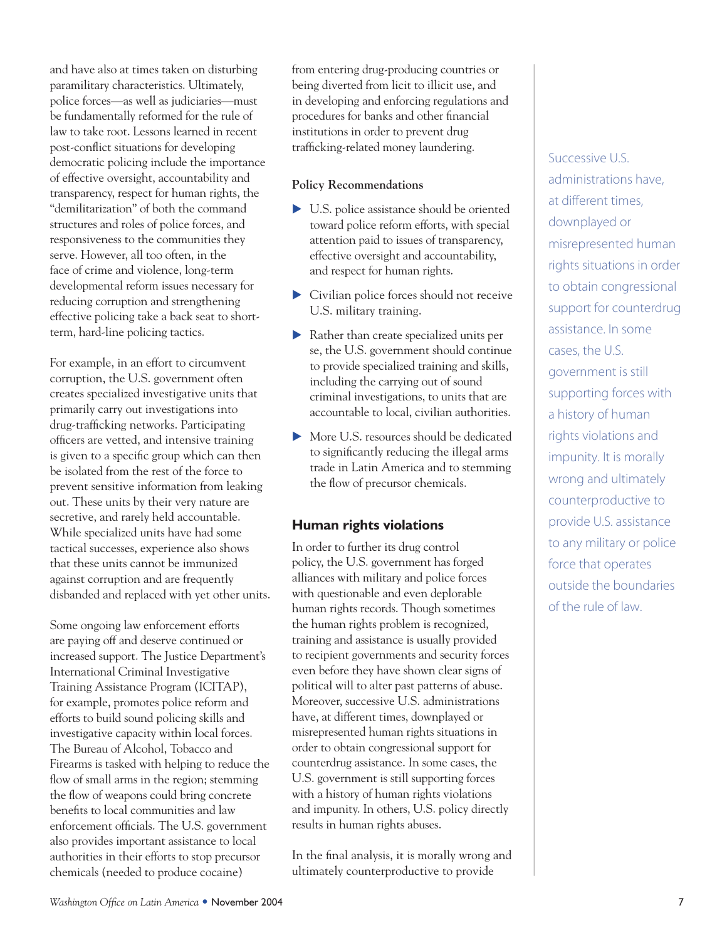and have also at times taken on disturbing paramilitary characteristics. Ultimately, police forces—as well as judiciaries—must be fundamentally reformed for the rule of law to take root. Lessons learned in recent post-conflict situations for developing democratic policing include the importance of effective oversight, accountability and transparency, respect for human rights, the "demilitarization" of both the command structures and roles of police forces, and responsiveness to the communities they serve. However, all too often, in the face of crime and violence, long-term developmental reform issues necessary for reducing corruption and strengthening effective policing take a back seat to shortterm, hard-line policing tactics.

For example, in an effort to circumvent corruption, the U.S. government often creates specialized investigative units that primarily carry out investigations into drug-trafficking networks. Participating officers are vetted, and intensive training is given to a specific group which can then be isolated from the rest of the force to prevent sensitive information from leaking out. These units by their very nature are secretive, and rarely held accountable. While specialized units have had some tactical successes, experience also shows that these units cannot be immunized against corruption and are frequently disbanded and replaced with yet other units.

Some ongoing law enforcement efforts are paying off and deserve continued or increased support. The Justice Department's International Criminal Investigative Training Assistance Program (ICITAP), for example, promotes police reform and efforts to build sound policing skills and investigative capacity within local forces. The Bureau of Alcohol, Tobacco and Firearms is tasked with helping to reduce the flow of small arms in the region; stemming the flow of weapons could bring concrete benefits to local communities and law enforcement officials. The U.S. government also provides important assistance to local authorities in their efforts to stop precursor chemicals (needed to produce cocaine)

from entering drug-producing countries or being diverted from licit to illicit use, and in developing and enforcing regulations and procedures for banks and other financial institutions in order to prevent drug trafficking-related money laundering.

#### **Policy Recommendations**

- U.S. police assistance should be oriented toward police reform efforts, with special attention paid to issues of transparency, effective oversight and accountability, and respect for human rights.
- Civilian police forces should not receive U.S. military training.
- Rather than create specialized units per se, the U.S. government should continue to provide specialized training and skills, including the carrying out of sound criminal investigations, to units that are accountable to local, civilian authorities.
- More U.S. resources should be dedicated to significantly reducing the illegal arms trade in Latin America and to stemming the flow of precursor chemicals.

## **Human rights violations**

In order to further its drug control policy, the U.S. government has forged alliances with military and police forces with questionable and even deplorable human rights records. Though sometimes the human rights problem is recognized, training and assistance is usually provided to recipient governments and security forces even before they have shown clear signs of political will to alter past patterns of abuse. Moreover, successive U.S. administrations have, at different times, downplayed or misrepresented human rights situations in order to obtain congressional support for counterdrug assistance. In some cases, the U.S. government is still supporting forces with a history of human rights violations and impunity. In others, U.S. policy directly results in human rights abuses.

In the final analysis, it is morally wrong and ultimately counterproductive to provide

Successive U.S. administrations have, at different times, downplayed or misrepresented human rights situations in order to obtain congressional support for counterdrug assistance. In some cases, the U.S. government is still supporting forces with a history of human rights violations and impunity. It is morally wrong and ultimately counterproductive to provide U.S. assistance to any military or police force that operates outside the boundaries of the rule of law.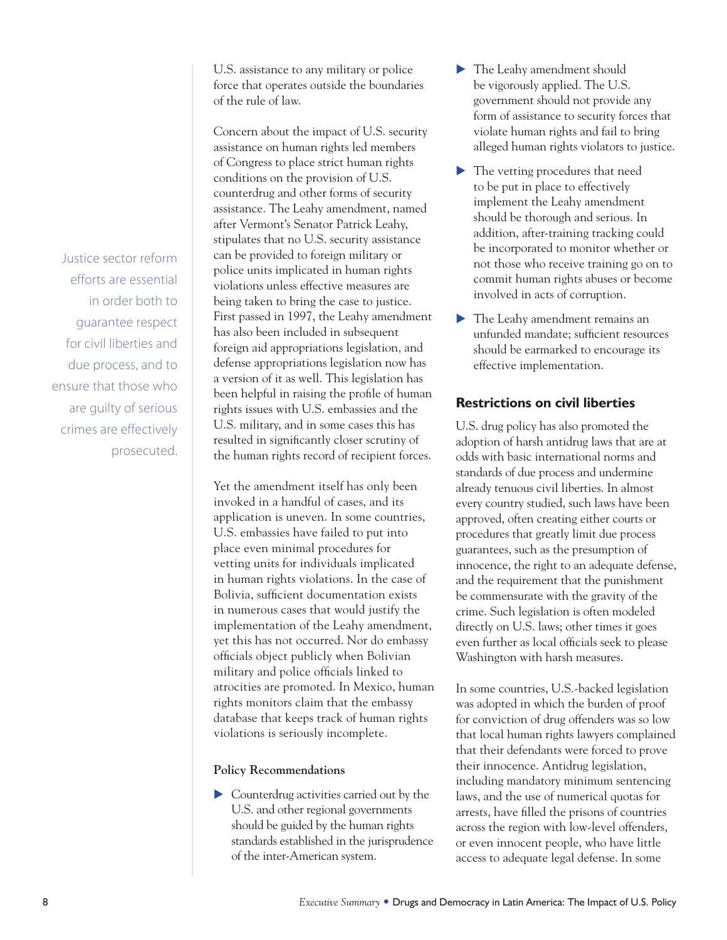Justice sector reform efforts are essential in order both to guarantee respect for civil liberties and due process, and to ensure that those who are guilty of serious crimes are effectively prosecuted. U.S. assistance to any military or police force that operates outside the boundaries of the rule of law.

Concern about the impact of U.S. security assistance on human rights led members of Congress to place strict human rights conditions on the provision of U.S. counterdrug and other forms of security assistance. The Leahy amendment, named after Vermont's Senator Patrick Leahy, stipulates that no U.S. security assistance can be provided to foreign military or police units implicated in human rights violations unless effective measures are being taken to bring the case to justice. First passed in 1997, the Leahy amendment has also been included in subsequent foreign aid appropriations legislation, and defense appropriations legislation now has a version of it as well. This legislation has been helpful in raising the profile of human rights issues with U.S. embassies and the U.S. military, and in some cases this has resulted in significantly closer scrutiny of the human rights record of recipient forces.

Yet the amendment itself has only been invoked in a handful of cases, and its application is uneven. In some countries, U.S. embassies have failed to put into place even minimal procedures for vetting units for individuals implicated in human rights violations. In the case of Bolivia, sufficient documentation exists in numerous cases that would justify the implementation of the Leahy amendment, yet this has not occurred. Nor do embassy officials object publicly when Bolivian military and police officials linked to atrocities are promoted. In Mexico, human rights monitors claim that the embassy database that keeps track of human rights violations is seriously incomplete.

#### **Policy Recommendations**

 Counterdrug activities carried out by the U.S. and other regional governments should be guided by the human rights standards established in the jurisprudence of the inter-American system.

- The Leahy amendment should be vigorously applied. The U.S. government should not provide any form of assistance to security forces that violate human rights and fail to bring alleged human rights violators to justice.
- The vetting procedures that need to be put in place to effectively implement the Leahy amendment should be thorough and serious. In addition, after-training tracking could be incorporated to monitor whether or not those who receive training go on to commit human rights abuses or become involved in acts of corruption.
- The Leahy amendment remains an unfunded mandate; sufficient resources should be earmarked to encourage its effective implementation.

## **Restrictions on civil liberties**

U.S. drug policy has also promoted the adoption of harsh antidrug laws that are at odds with basic international norms and standards of due process and undermine already tenuous civil liberties. In almost every country studied, such laws have been approved, often creating either courts or procedures that greatly limit due process guarantees, such as the presumption of innocence, the right to an adequate defense, and the requirement that the punishment be commensurate with the gravity of the crime. Such legislation is often modeled directly on U.S. laws; other times it goes even further as local officials seek to please Washington with harsh measures.

In some countries, U.S.-backed legislation was adopted in which the burden of proof for conviction of drug offenders was so low that local human rights lawyers complained that their defendants were forced to prove their innocence. Antidrug legislation, including mandatory minimum sentencing laws, and the use of numerical quotas for arrests, have filled the prisons of countries across the region with low-level offenders, or even innocent people, who have little access to adequate legal defense. In some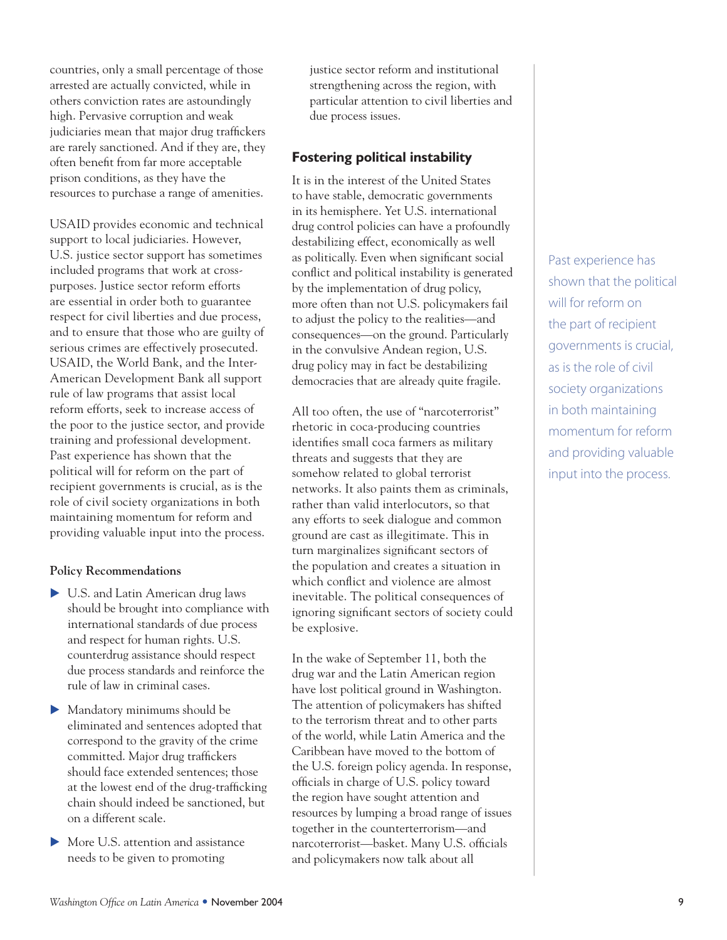countries, only a small percentage of those arrested are actually convicted, while in others conviction rates are astoundingly high. Pervasive corruption and weak judiciaries mean that major drug traffickers are rarely sanctioned. And if they are, they often benefit from far more acceptable prison conditions, as they have the resources to purchase a range of amenities.

USAID provides economic and technical support to local judiciaries. However, U.S. justice sector support has sometimes included programs that work at crosspurposes. Justice sector reform efforts are essential in order both to guarantee respect for civil liberties and due process, and to ensure that those who are guilty of serious crimes are effectively prosecuted. USAID, the World Bank, and the Inter-American Development Bank all support rule of law programs that assist local reform efforts, seek to increase access of the poor to the justice sector, and provide training and professional development. Past experience has shown that the political will for reform on the part of recipient governments is crucial, as is the role of civil society organizations in both maintaining momentum for reform and providing valuable input into the process.

#### **Policy Recommendations**

- U.S. and Latin American drug laws should be brought into compliance with international standards of due process and respect for human rights. U.S. counterdrug assistance should respect due process standards and reinforce the rule of law in criminal cases.
- Mandatory minimums should be eliminated and sentences adopted that correspond to the gravity of the crime committed. Major drug traffickers should face extended sentences; those at the lowest end of the drug-trafficking chain should indeed be sanctioned, but on a different scale.
- More U.S. attention and assistance needs to be given to promoting

justice sector reform and institutional strengthening across the region, with particular attention to civil liberties and due process issues.

#### **Fostering political instability**

It is in the interest of the United States to have stable, democratic governments in its hemisphere. Yet U.S. international drug control policies can have a profoundly destabilizing effect, economically as well as politically. Even when significant social conflict and political instability is generated by the implementation of drug policy, more often than not U.S. policymakers fail to adjust the policy to the realities—and consequences—on the ground. Particularly in the convulsive Andean region, U.S. drug policy may in fact be destabilizing democracies that are already quite fragile.

All too often, the use of "narcoterrorist" rhetoric in coca-producing countries identifies small coca farmers as military threats and suggests that they are somehow related to global terrorist networks. It also paints them as criminals, rather than valid interlocutors, so that any efforts to seek dialogue and common ground are cast as illegitimate. This in turn marginalizes significant sectors of the population and creates a situation in which conflict and violence are almost inevitable. The political consequences of ignoring significant sectors of society could be explosive.

In the wake of September 11, both the drug war and the Latin American region have lost political ground in Washington. The attention of policymakers has shifted to the terrorism threat and to other parts of the world, while Latin America and the Caribbean have moved to the bottom of the U.S. foreign policy agenda. In response, officials in charge of U.S. policy toward the region have sought attention and resources by lumping a broad range of issues together in the counterterrorism—and narcoterrorist—basket. Many U.S. officials and policymakers now talk about all

Past experience has shown that the political will for reform on the part of recipient governments is crucial, as is the role of civil society organizations in both maintaining momentum for reform and providing valuable input into the process.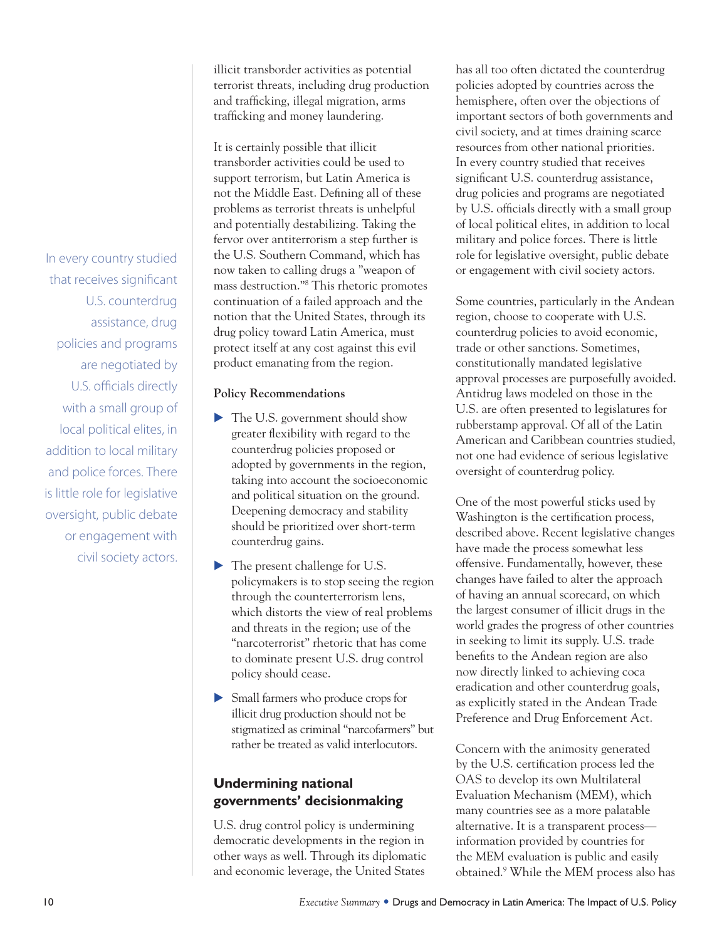In every country studied that receives significant U.S. counterdrug assistance, drug policies and programs are negotiated by U.S. officials directly with a small group of local political elites, in addition to local military and police forces. There is little role for legislative oversight, public debate or engagement with civil society actors.

illicit transborder activities as potential terrorist threats, including drug production and trafficking, illegal migration, arms trafficking and money laundering.

It is certainly possible that illicit transborder activities could be used to support terrorism, but Latin America is not the Middle East. Defining all of these problems as terrorist threats is unhelpful and potentially destabilizing. Taking the fervor over antiterrorism a step further is the U.S. Southern Command, which has now taken to calling drugs a "weapon of mass destruction."8 This rhetoric promotes continuation of a failed approach and the notion that the United States, through its drug policy toward Latin America, must protect itself at any cost against this evil product emanating from the region.

#### **Policy Recommendations**

- ▶ The U.S. government should show greater flexibility with regard to the counterdrug policies proposed or adopted by governments in the region, taking into account the socioeconomic and political situation on the ground. Deepening democracy and stability should be prioritized over short-term counterdrug gains.
- The present challenge for U.S. policymakers is to stop seeing the region through the counterterrorism lens, which distorts the view of real problems and threats in the region; use of the "narcoterrorist" rhetoric that has come to dominate present U.S. drug control policy should cease.
- Small farmers who produce crops for illicit drug production should not be stigmatized as criminal "narcofarmers" but rather be treated as valid interlocutors.

## **Undermining national governments' decisionmaking**

U.S. drug control policy is undermining democratic developments in the region in other ways as well. Through its diplomatic and economic leverage, the United States

has all too often dictated the counterdrug policies adopted by countries across the hemisphere, often over the objections of important sectors of both governments and civil society, and at times draining scarce resources from other national priorities. In every country studied that receives significant U.S. counterdrug assistance, drug policies and programs are negotiated by U.S. officials directly with a small group of local political elites, in addition to local military and police forces. There is little role for legislative oversight, public debate or engagement with civil society actors.

Some countries, particularly in the Andean region, choose to cooperate with U.S. counterdrug policies to avoid economic, trade or other sanctions. Sometimes, constitutionally mandated legislative approval processes are purposefully avoided. Antidrug laws modeled on those in the U.S. are often presented to legislatures for rubberstamp approval. Of all of the Latin American and Caribbean countries studied, not one had evidence of serious legislative oversight of counterdrug policy.

One of the most powerful sticks used by Washington is the certification process, described above. Recent legislative changes have made the process somewhat less offensive. Fundamentally, however, these changes have failed to alter the approach of having an annual scorecard, on which the largest consumer of illicit drugs in the world grades the progress of other countries in seeking to limit its supply. U.S. trade benefits to the Andean region are also now directly linked to achieving coca eradication and other counterdrug goals, as explicitly stated in the Andean Trade Preference and Drug Enforcement Act.

Concern with the animosity generated by the U.S. certification process led the OAS to develop its own Multilateral Evaluation Mechanism (MEM), which many countries see as a more palatable alternative. It is a transparent process information provided by countries for the MEM evaluation is public and easily obtained.9 While the MEM process also has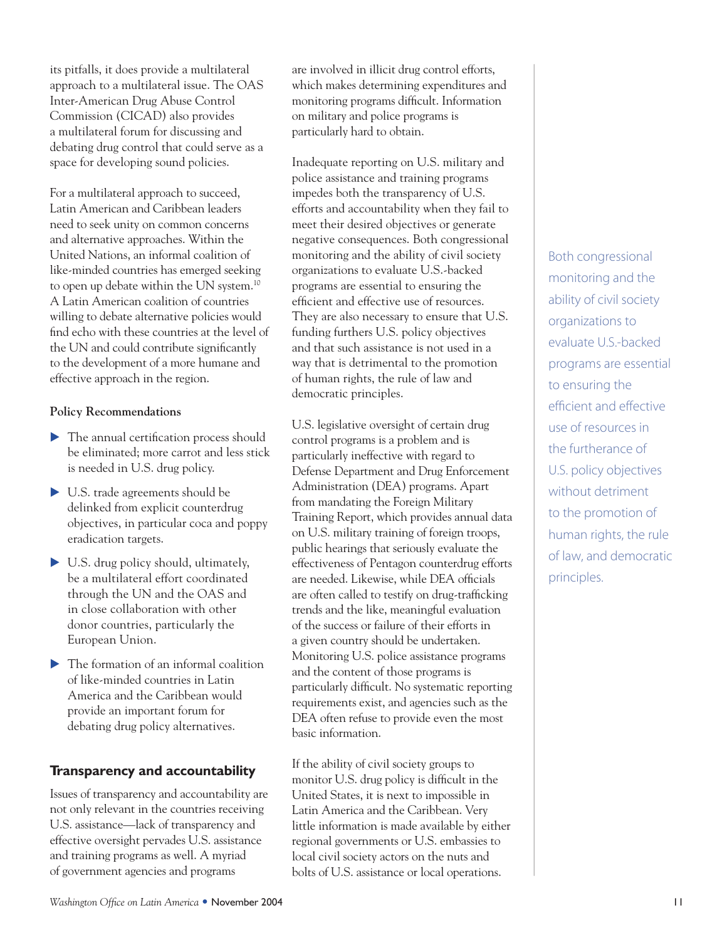its pitfalls, it does provide a multilateral approach to a multilateral issue. The OAS Inter-American Drug Abuse Control Commission (CICAD) also provides a multilateral forum for discussing and debating drug control that could serve as a space for developing sound policies.

For a multilateral approach to succeed, Latin American and Caribbean leaders need to seek unity on common concerns and alternative approaches. Within the United Nations, an informal coalition of like-minded countries has emerged seeking to open up debate within the UN system.10 A Latin American coalition of countries willing to debate alternative policies would find echo with these countries at the level of the UN and could contribute significantly to the development of a more humane and effective approach in the region.

#### **Policy Recommendations**

- $\blacktriangleright$  The annual certification process should be eliminated; more carrot and less stick is needed in U.S. drug policy.
- ▶ U.S. trade agreements should be delinked from explicit counterdrug objectives, in particular coca and poppy eradication targets.
- ▶ U.S. drug policy should, ultimately, be a multilateral effort coordinated through the UN and the OAS and in close collaboration with other donor countries, particularly the European Union.
- The formation of an informal coalition of like-minded countries in Latin America and the Caribbean would provide an important forum for debating drug policy alternatives.

## **Transparency and accountability**

Issues of transparency and accountability are not only relevant in the countries receiving U.S. assistance—lack of transparency and effective oversight pervades U.S. assistance and training programs as well. A myriad of government agencies and programs

are involved in illicit drug control efforts, which makes determining expenditures and monitoring programs difficult. Information on military and police programs is particularly hard to obtain.

Inadequate reporting on U.S. military and police assistance and training programs impedes both the transparency of U.S. efforts and accountability when they fail to meet their desired objectives or generate negative consequences. Both congressional monitoring and the ability of civil society organizations to evaluate U.S.-backed programs are essential to ensuring the efficient and effective use of resources. They are also necessary to ensure that U.S. funding furthers U.S. policy objectives and that such assistance is not used in a way that is detrimental to the promotion of human rights, the rule of law and democratic principles.

U.S. legislative oversight of certain drug control programs is a problem and is particularly ineffective with regard to Defense Department and Drug Enforcement Administration (DEA) programs. Apart from mandating the Foreign Military Training Report, which provides annual data on U.S. military training of foreign troops, public hearings that seriously evaluate the effectiveness of Pentagon counterdrug efforts are needed. Likewise, while DEA officials are often called to testify on drug-trafficking trends and the like, meaningful evaluation of the success or failure of their efforts in a given country should be undertaken. Monitoring U.S. police assistance programs and the content of those programs is particularly difficult. No systematic reporting requirements exist, and agencies such as the DEA often refuse to provide even the most basic information.

If the ability of civil society groups to monitor U.S. drug policy is difficult in the United States, it is next to impossible in Latin America and the Caribbean. Very little information is made available by either regional governments or U.S. embassies to local civil society actors on the nuts and bolts of U.S. assistance or local operations.

Both congressional monitoring and the ability of civil society organizations to evaluate U.S.-backed programs are essential to ensuring the efficient and effective use of resources in the furtherance of U.S. policy objectives without detriment to the promotion of human rights, the rule of law, and democratic principles.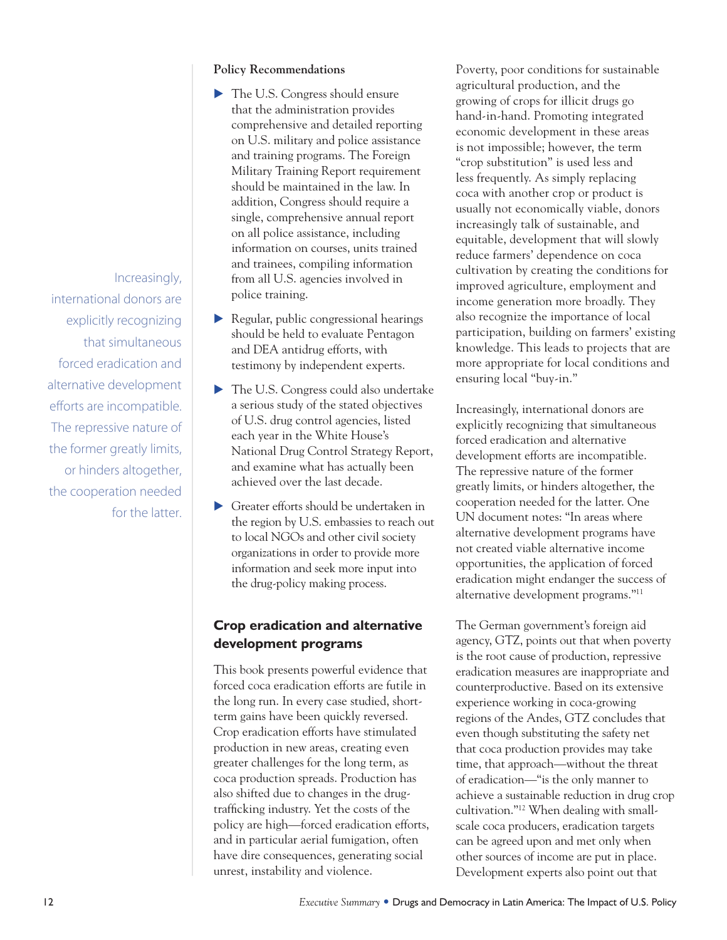Increasingly, international donors are explicitly recognizing that simultaneous forced eradication and alternative development efforts are incompatible. The repressive nature of the former greatly limits, or hinders altogether, the cooperation needed for the latter.

#### **Policy Recommendations**

- ▶ The U.S. Congress should ensure that the administration provides comprehensive and detailed reporting on U.S. military and police assistance and training programs. The Foreign Military Training Report requirement should be maintained in the law. In addition, Congress should require a single, comprehensive annual report on all police assistance, including information on courses, units trained and trainees, compiling information from all U.S. agencies involved in police training.
- Regular, public congressional hearings should be held to evaluate Pentagon and DEA antidrug efforts, with testimony by independent experts.
- The U.S. Congress could also undertake a serious study of the stated objectives of U.S. drug control agencies, listed each year in the White House's National Drug Control Strategy Report, and examine what has actually been achieved over the last decade.
- Greater efforts should be undertaken in the region by U.S. embassies to reach out to local NGOs and other civil society organizations in order to provide more information and seek more input into the drug-policy making process.

## **Crop eradication and alternative development programs**

This book presents powerful evidence that forced coca eradication efforts are futile in the long run. In every case studied, shortterm gains have been quickly reversed. Crop eradication efforts have stimulated production in new areas, creating even greater challenges for the long term, as coca production spreads. Production has also shifted due to changes in the drugtrafficking industry. Yet the costs of the policy are high—forced eradication efforts, and in particular aerial fumigation, often have dire consequences, generating social unrest, instability and violence.

Poverty, poor conditions for sustainable agricultural production, and the growing of crops for illicit drugs go hand-in-hand. Promoting integrated economic development in these areas is not impossible; however, the term "crop substitution" is used less and less frequently. As simply replacing coca with another crop or product is usually not economically viable, donors increasingly talk of sustainable, and equitable, development that will slowly reduce farmers' dependence on coca cultivation by creating the conditions for improved agriculture, employment and income generation more broadly. They also recognize the importance of local participation, building on farmers' existing knowledge. This leads to projects that are more appropriate for local conditions and ensuring local "buy-in."

Increasingly, international donors are explicitly recognizing that simultaneous forced eradication and alternative development efforts are incompatible. The repressive nature of the former greatly limits, or hinders altogether, the cooperation needed for the latter. One UN document notes: "In areas where alternative development programs have not created viable alternative income opportunities, the application of forced eradication might endanger the success of alternative development programs."11

The German government's foreign aid agency, GTZ, points out that when poverty is the root cause of production, repressive eradication measures are inappropriate and counterproductive. Based on its extensive experience working in coca-growing regions of the Andes, GTZ concludes that even though substituting the safety net that coca production provides may take time, that approach—without the threat of eradication—"is the only manner to achieve a sustainable reduction in drug crop cultivation."12 When dealing with smallscale coca producers, eradication targets can be agreed upon and met only when other sources of income are put in place. Development experts also point out that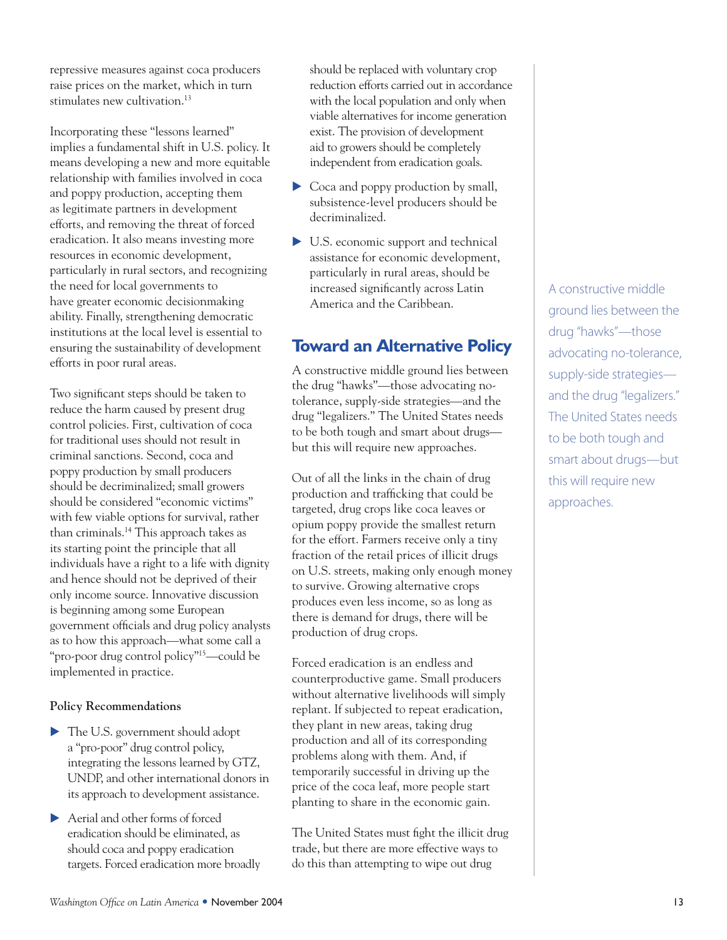repressive measures against coca producers raise prices on the market, which in turn stimulates new cultivation.<sup>13</sup>

Incorporating these "lessons learned" implies a fundamental shift in U.S. policy. It means developing a new and more equitable relationship with families involved in coca and poppy production, accepting them as legitimate partners in development efforts, and removing the threat of forced eradication. It also means investing more resources in economic development, particularly in rural sectors, and recognizing the need for local governments to have greater economic decisionmaking ability. Finally, strengthening democratic institutions at the local level is essential to ensuring the sustainability of development efforts in poor rural areas.

Two significant steps should be taken to reduce the harm caused by present drug control policies. First, cultivation of coca for traditional uses should not result in criminal sanctions. Second, coca and poppy production by small producers should be decriminalized; small growers should be considered "economic victims" with few viable options for survival, rather than criminals.14 This approach takes as its starting point the principle that all individuals have a right to a life with dignity and hence should not be deprived of their only income source. Innovative discussion is beginning among some European government officials and drug policy analysts as to how this approach—what some call a "pro-poor drug control policy"15—could be implemented in practice.

#### **Policy Recommendations**

- The U.S. government should adopt a "pro-poor" drug control policy, integrating the lessons learned by GTZ, UNDP, and other international donors in its approach to development assistance.
- Aerial and other forms of forced eradication should be eliminated, as should coca and poppy eradication targets. Forced eradication more broadly

should be replaced with voluntary crop reduction efforts carried out in accordance with the local population and only when viable alternatives for income generation exist. The provision of development aid to growers should be completely independent from eradication goals.

- Coca and poppy production by small, subsistence-level producers should be decriminalized.
- U.S. economic support and technical assistance for economic development, particularly in rural areas, should be increased significantly across Latin America and the Caribbean.

# **Toward an Alternative Policy**

A constructive middle ground lies between the drug "hawks"—those advocating notolerance, supply-side strategies—and the drug "legalizers." The United States needs to be both tough and smart about drugs but this will require new approaches.

Out of all the links in the chain of drug production and trafficking that could be targeted, drug crops like coca leaves or opium poppy provide the smallest return for the effort. Farmers receive only a tiny fraction of the retail prices of illicit drugs on U.S. streets, making only enough money to survive. Growing alternative crops produces even less income, so as long as there is demand for drugs, there will be production of drug crops.

Forced eradication is an endless and counterproductive game. Small producers without alternative livelihoods will simply replant. If subjected to repeat eradication, they plant in new areas, taking drug production and all of its corresponding problems along with them. And, if temporarily successful in driving up the price of the coca leaf, more people start planting to share in the economic gain.

The United States must fight the illicit drug trade, but there are more effective ways to do this than attempting to wipe out drug

A constructive middle ground lies between the drug "hawks"—those advocating no-tolerance, supply-side strategies and the drug "legalizers." The United States needs to be both tough and smart about drugs—but this will require new approaches.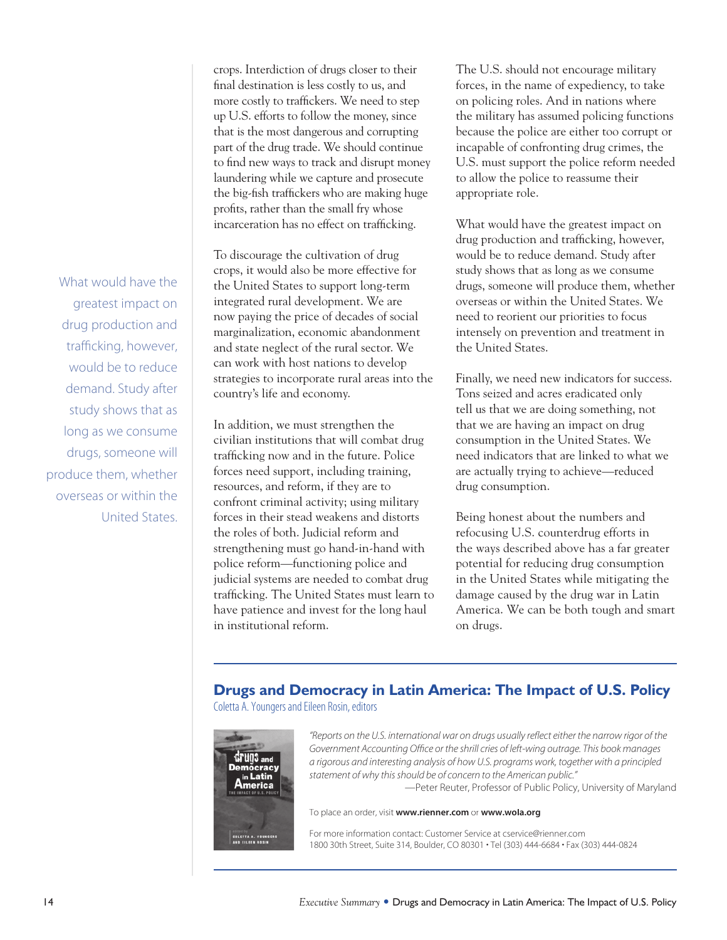What would have the greatest impact on drug production and trafficking, however, would be to reduce demand. Study after study shows that as long as we consume drugs, someone will produce them, whether overseas or within the United States.

crops. Interdiction of drugs closer to their final destination is less costly to us, and more costly to traffickers. We need to step up U.S. efforts to follow the money, since that is the most dangerous and corrupting part of the drug trade. We should continue to find new ways to track and disrupt money laundering while we capture and prosecute the big-fish traffickers who are making huge profits, rather than the small fry whose incarceration has no effect on trafficking.

To discourage the cultivation of drug crops, it would also be more effective for the United States to support long-term integrated rural development. We are now paying the price of decades of social marginalization, economic abandonment and state neglect of the rural sector. We can work with host nations to develop strategies to incorporate rural areas into the country's life and economy.

In addition, we must strengthen the civilian institutions that will combat drug trafficking now and in the future. Police forces need support, including training, resources, and reform, if they are to confront criminal activity; using military forces in their stead weakens and distorts the roles of both. Judicial reform and strengthening must go hand-in-hand with police reform—functioning police and judicial systems are needed to combat drug trafficking. The United States must learn to have patience and invest for the long haul in institutional reform.

The U.S. should not encourage military forces, in the name of expediency, to take on policing roles. And in nations where the military has assumed policing functions because the police are either too corrupt or incapable of confronting drug crimes, the U.S. must support the police reform needed to allow the police to reassume their appropriate role.

What would have the greatest impact on drug production and trafficking, however, would be to reduce demand. Study after study shows that as long as we consume drugs, someone will produce them, whether overseas or within the United States. We need to reorient our priorities to focus intensely on prevention and treatment in the United States.

Finally, we need new indicators for success. Tons seized and acres eradicated only tell us that we are doing something, not that we are having an impact on drug consumption in the United States. We need indicators that are linked to what we are actually trying to achieve—reduced drug consumption.

Being honest about the numbers and refocusing U.S. counterdrug efforts in the ways described above has a far greater potential for reducing drug consumption in the United States while mitigating the damage caused by the drug war in Latin America. We can be both tough and smart on drugs.

#### **Drugs and Democracy in Latin America: The Impact of U.S. Policy** Coletta A. Youngers and Eileen Rosin, editors



"Reports on the U.S. international war on drugs usually reflect either the narrow rigor of the Government Accounting Office or the shrill cries of left-wing outrage. This book manages a rigorous and interesting analysis of how U.S. programs work, together with a principled statement of why this should be of concern to the American public."

—Peter Reuter, Professor of Public Policy, University of Maryland

To place an order, visit www.rienner.com or www.wola.org

For more information contact: Customer Service at cservice@rienner.com 1800 30th Street, Suite 314, Boulder, CO 80301 • Tel (303) 444-6684 • Fax (303) 444-0824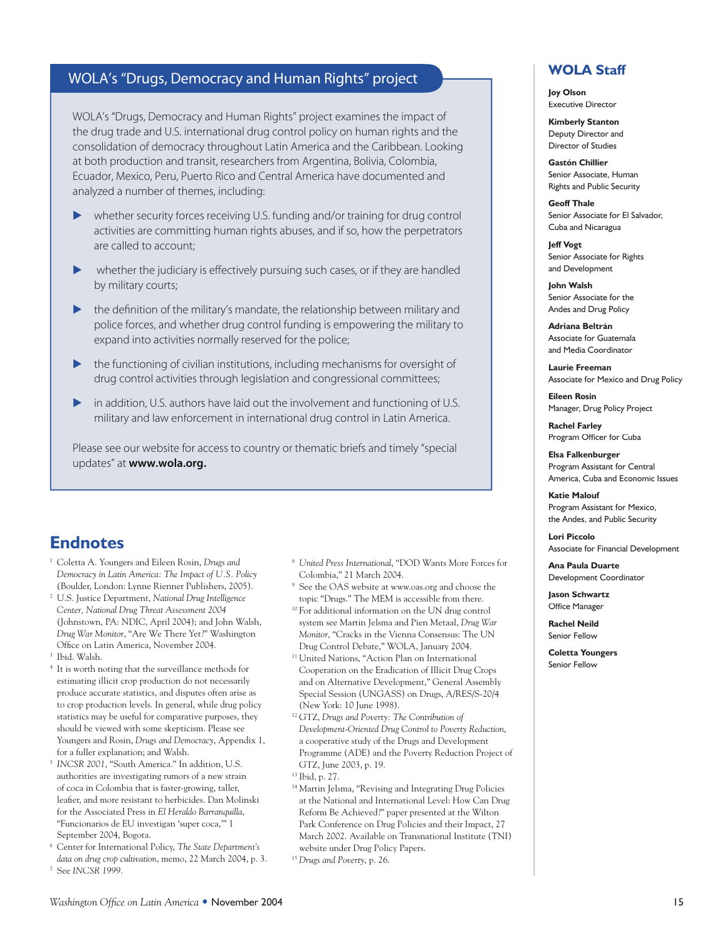## WOLA's "Drugs, Democracy and Human Rights" project

WOLA's "Drugs, Democracy and Human Rights" project examines the impact of the drug trade and U.S. international drug control policy on human rights and the consolidation of democracy throughout Latin America and the Caribbean. Looking at both production and transit, researchers from Argentina, Bolivia, Colombia, Ecuador, Mexico, Peru, Puerto Rico and Central America have documented and analyzed a number of themes, including:

- whether security forces receiving U.S. funding and/or training for drug control activities are committing human rights abuses, and if so, how the perpetrators are called to account;
- whether the judiciary is effectively pursuing such cases, or if they are handled by military courts;
- $\blacktriangleright$  the definition of the military's mandate, the relationship between military and police forces, and whether drug control funding is empowering the military to expand into activities normally reserved for the police;
- $\blacktriangleright$  the functioning of civilian institutions, including mechanisms for oversight of drug control activities through legislation and congressional committees;
- in addition, U.S. authors have laid out the involvement and functioning of U.S. military and law enforcement in international drug control in Latin America.

Please see our website for access to country or thematic briefs and timely "special updates" at www.wola.org.

## **Endnotes**

- 1 Coletta A. Youngers and Eileen Rosin, *Drugs and Democracy in Latin America: The Impact of U.S. Policy*  (Boulder, London: Lynne Rienner Publishers, 2005).
- 2 U.S. Justice Department, *National Drug Intelligence Center, National Drug Threat Assessment 2004* (Johnstown, PA: NDIC, April 2004); and John Walsh, *Drug War Monitor*, "Are We There Yet?" Washington Office on Latin America, November 2004.
- 3 Ibid. Walsh.
- 4 It is worth noting that the surveillance methods for estimating illicit crop production do not necessarily produce accurate statistics, and disputes often arise as to crop production levels. In general, while drug policy statistics may be useful for comparative purposes, they should be viewed with some skepticism. Please see Youngers and Rosin, *Drugs and Democracy*, Appendix 1, for a fuller explanation; and Walsh.
- <sup>5</sup> *INCSR 2001*, "South America." In addition, U.S. authorities are investigating rumors of a new strain of coca in Colombia that is faster-growing, taller, leafier, and more resistant to herbicides. Dan Molinski for the Associated Press in *El Heraldo Barranquilla*, "Funcionarios de EU investigan 'super coca,'" 1 September 2004, Bogota.
- 6 Center for International Policy, *The State Department's*  data on drug crop cultivation, memo, 22 March 2004, p. 3.
- <sup>8</sup> *United Press International*, "DOD Wants More Forces for Colombia," 21 March 2004.
- 9 See the OAS website at www.oas.org and choose the topic "Drugs." The MEM is accessible from there.
- 10 For additional information on the UN drug control system see Martin Jelsma and Pien Metaal, *Drug War Monitor*, "Cracks in the Vienna Consensus: The UN Drug Control Debate," WOLA, January 2004.
- <sup>11</sup> United Nations, "Action Plan on International Cooperation on the Eradication of Illicit Drug Crops and on Alternative Development," General Assembly Special Session (UNGASS) on Drugs, A/RES/S-20/4 (New York: 10 June 1998).
- 12 GTZ, *Drugs and Poverty: The Contribution of Development-Oriented Drug Control to Poverty Reduction*, a cooperative study of the Drugs and Development Programme (ADE) and the Poverty Reduction Project of GTZ, June 2003, p. 19.
- 13 Ibid, p. 27.
- 14 Martin Jelsma, "Revising and Integrating Drug Policies at the National and International Level: How Can Drug Reform Be Achieved?" paper presented at the Wilton Park Conference on Drug Policies and their Impact, 27 March 2002. Available on Transnational Institute (TNI) website under Drug Policy Papers.
- <sup>15</sup> *Drugs and Poverty*, p. 26.

#### See *INCSR 1999*.

#### Washington Office on Latin America • November 2004 15

#### **WOLA Staff**

**Joy Olson** Executive Director

**Kimberly Stanton** Deputy Director and Director of Studies

**Gastón Chillier** Senior Associate, Human Rights and Public Security

**Geoff Thale** Senior Associate for El Salvador, Cuba and Nicaragua

**Jeff Vogt** Senior Associate for Rights and Development

**John Walsh** Senior Associate for the Andes and Drug Policy

**Adriana Beltrán** Associate for Guatemala and Media Coordinator

**Laurie Freeman** Associate for Mexico and Drug Policy

**Eileen Rosin** Manager, Drug Policy Project

**Rachel Farley** Program Officer for Cuba

**Elsa Falkenburger** Program Assistant for Central America, Cuba and Economic Issues

**Katie Malouf** Program Assistant for Mexico, the Andes, and Public Security

**Lori Piccolo** Associate for Financial Development

**Ana Paula Duarte** Development Coordinator

**Jason Schwartz** Office Manager

**Rachel Neild** Senior Fellow

**Coletta Youngers** Senior Fellow